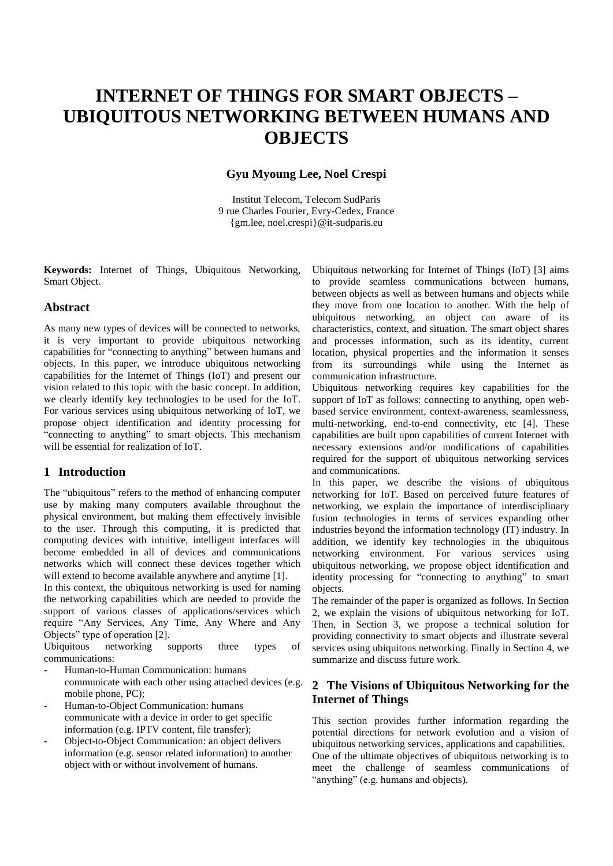# **INTERNET OF THINGS FOR SMART OBJECTS – UBIQUITOUS NETWORKING BETWEEN HUMANS AND OBJECTS**

## **Gyu Myoung Lee, Noel Crespi**

Institut Telecom, Telecom SudParis 9 rue Charles Fourier, Evry-Cedex, France {gm.lee, noel.crespi}@it-sudparis.eu

**Keywords:** Internet of Things, Ubiquitous Networking, Smart Object.

#### **Abstract**

As many new types of devices will be connected to networks, it is very important to provide ubiquitous networking capabilities for "connecting to anything" between humans and objects. In this paper, we introduce ubiquitous networking capabilities for the Internet of Things (IoT) and present our vision related to this topic with the basic concept. In addition, we clearly identify key technologies to be used for the IoT. For various services using ubiquitous networking of IoT, we propose object identification and identity processing for "connecting to anything" to smart objects. This mechanism will be essential for realization of IoT.

### **1 Introduction**

The "ubiquitous" refers to the method of enhancing computer use by making many computers available throughout the physical environment, but making them effectively invisible to the user. Through this computing, it is predicted that computing devices with intuitive, intelligent interfaces will become embedded in all of devices and communications networks which will connect these devices together which will extend to become available anywhere and anytime [1].

In this context, the ubiquitous networking is used for naming the networking capabilities which are needed to provide the support of various classes of applications/services which require "Any Services, Any Time, Any Where and Any Objects" type of operation [2].

Ubiquitous networking supports three types of communications:

- Human-to-Human Communication: humans communicate with each other using attached devices (e.g. mobile phone, PC);
- Human-to-Object Communication: humans communicate with a device in order to get specific information (e.g. IPTV content, file transfer);
- Object-to-Object Communication: an object delivers information (e.g. sensor related information) to another object with or without involvement of humans.

Ubiquitous networking for Internet of Things (IoT) [3] aims to provide seamless communications between humans, between objects as well as between humans and objects while they move from one location to another. With the help of ubiquitous networking, an object can aware of its characteristics, context, and situation. The smart object shares and processes information, such as its identity, current location, physical properties and the information it senses from its surroundings while using the Internet as communication infrastructure.

Ubiquitous networking requires key capabilities for the support of IoT as follows: connecting to anything, open webbased service environment, context-awareness, seamlessness, multi-networking, end-to-end connectivity, etc [4]. These capabilities are built upon capabilities of current Internet with necessary extensions and/or modifications of capabilities required for the support of ubiquitous networking services and communications.

In this paper, we describe the visions of ubiquitous networking for IoT. Based on perceived future features of networking, we explain the importance of interdisciplinary fusion technologies in terms of services expanding other industries beyond the information technology (IT) industry. In addition, we identify key technologies in the ubiquitous networking environment. For various services using ubiquitous networking, we propose object identification and identity processing for "connecting to anything" to smart objects.

The remainder of the paper is organized as follows. In Section 2, we explain the visions of ubiquitous networking for IoT. Then, in Section 3, we propose a technical solution for providing connectivity to smart objects and illustrate several services using ubiquitous networking. Finally in Section 4, we summarize and discuss future work.

# **2 The Visions of Ubiquitous Networking for the Internet of Things**

This section provides further information regarding the potential directions for network evolution and a vision of ubiquitous networking services, applications and capabilities. One of the ultimate objectives of ubiquitous networking is to meet the challenge of seamless communications of "anything" (e.g. humans and objects).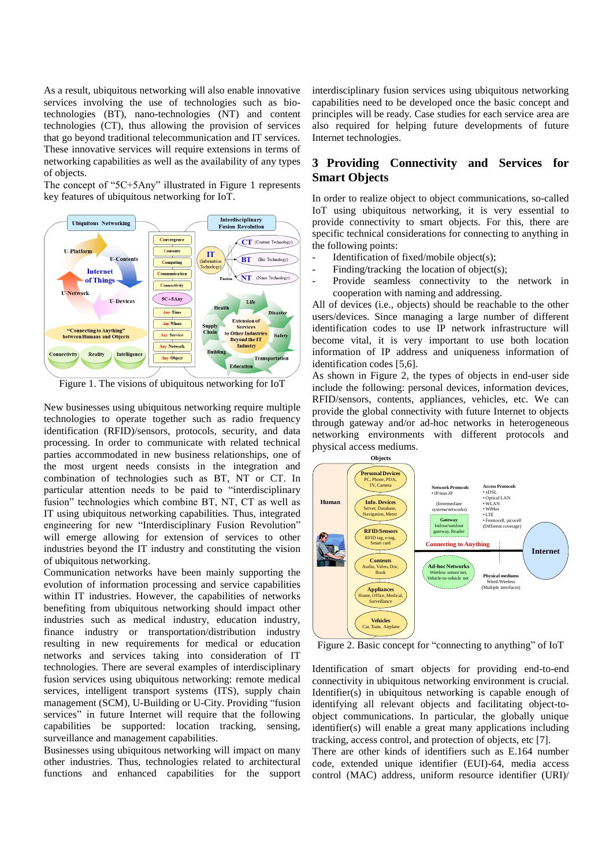As a result, ubiquitous networking will also enable innovative services involving the use of technologies such as biotechnologies (BT), nano-technologies (NT) and content technologies (CT), thus allowing the provision of services that go beyond traditional telecommunication and IT services. These innovative services will require extensions in terms of networking capabilities as well as the availability of any types of objects.

The concept of "5C+5Any" illustrated in Figure 1 represents key features of ubiquitous networking for IoT.



Figure 1. The visions of ubiquitous networking for IoT

New businesses using ubiquitous networking require multiple technologies to operate together such as radio frequency identification (RFID)/sensors, protocols, security, and data processing. In order to communicate with related technical parties accommodated in new business relationships, one of the most urgent needs consists in the integration and combination of technologies such as BT, NT or CT. In particular attention needs to be paid to "interdisciplinary fusion" technologies which combine BT, NT, CT as well as IT using ubiquitous networking capabilities. Thus, integrated engineering for new "Interdisciplinary Fusion Revolution" will emerge allowing for extension of services to other industries beyond the IT industry and constituting the vision of ubiquitous networking.

Communication networks have been mainly supporting the evolution of information processing and service capabilities within IT industries. However, the capabilities of networks benefiting from ubiquitous networking should impact other industries such as medical industry, education industry, finance industry or transportation/distribution industry resulting in new requirements for medical or education networks and services taking into consideration of IT technologies. There are several examples of interdisciplinary fusion services using ubiquitous networking: remote medical services, intelligent transport systems (ITS), supply chain management (SCM), U-Building or U-City. Providing "fusion services" in future Internet will require that the following capabilities be supported: location tracking, sensing, surveillance and management capabilities.

Businesses using ubiquitous networking will impact on many other industries. Thus, technologies related to architectural functions and enhanced capabilities for the support interdisciplinary fusion services using ubiquitous networking capabilities need to be developed once the basic concept and principles will be ready. Case studies for each service area are also required for helping future developments of future Internet technologies.

## **3 Providing Connectivity and Services for Smart Objects**

In order to realize object to object communications, so-called IoT using ubiquitous networking, it is very essential to provide connectivity to smart objects. For this, there are specific technical considerations for connecting to anything in the following points:

- Identification of fixed/mobile object(s);
- Finding/tracking the location of object(s);
- Provide seamless connectivity to the network in cooperation with naming and addressing.

All of devices (i.e., objects) should be reachable to the other users/devices. Since managing a large number of different identification codes to use IP network infrastructure will become vital, it is very important to use both location information of IP address and uniqueness information of identification codes [5,6].

As shown in Figure 2, the types of objects in end-user side include the following: personal devices, information devices, RFID/sensors, contents, appliances, vehicles, etc. We can provide the global connectivity with future Internet to objects through gateway and/or ad-hoc networks in heterogeneous networking environments with different protocols and physical access mediums.



Figure 2. Basic concept for "connecting to anything" of IoT

Identification of smart objects for providing end-to-end connectivity in ubiquitous networking environment is crucial. Identifier(s) in ubiquitous networking is capable enough of identifying all relevant objects and facilitating object-toobject communications. In particular, the globally unique identifier(s) will enable a great many applications including tracking, access control, and protection of objects, etc [7].

There are other kinds of identifiers such as E.164 number code, extended unique identifier (EUI)-64, media access control (MAC) address, uniform resource identifier (URI)/